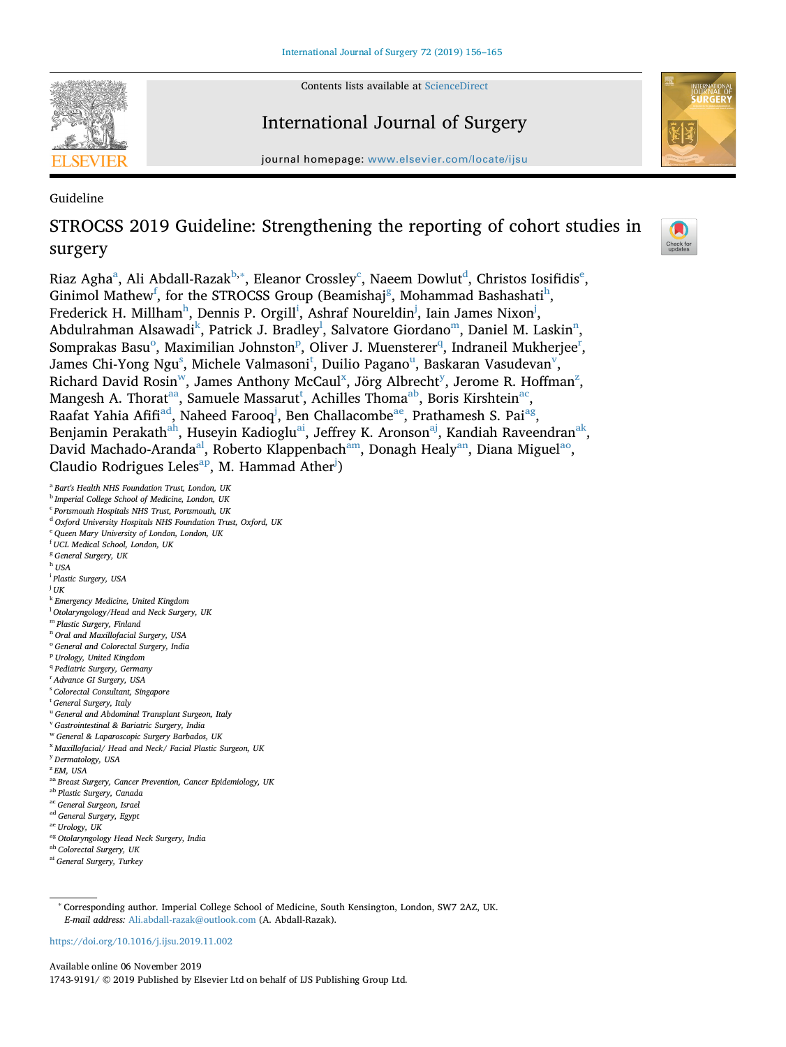Contents lists available at [ScienceDirect](http://www.sciencedirect.com/science/journal/17439191)



# International Journal of Surgery

journal homepage: [www.elsevier.com/locate/ijsu](https://www.elsevier.com/locate/ijsu)



Guideline

# STROCSS 2019 Guideline: Strengthening the reporting of cohort studies in surgery



Ri[a](#page-0-0)z Agha<sup>a</sup>, Ali Abdall-Razak<sup>b,</sup>\*, Eleanor Crossley<sup>[c](#page-0-3)</sup>, Na[e](#page-0-5)em Dowlut<sup>d</sup>, Christos Iosifidis<sup>e</sup>, Ginimol Mathew $^{\mathsf{f}},$  $^{\mathsf{f}},$  $^{\mathsf{f}},$  for the STROCSS Group (Beamishaj $^{\mathsf{g}},$  $^{\mathsf{g}},$  $^{\mathsf{g}},$  Mohammad Bashashati $^{\mathsf{h}},$ Frederick H. Mill[h](#page-0-8)am<sup>h</sup>, Denn[i](#page-0-9)s P. Orgill<sup>i</sup>, Ashraf Noureldin<sup>[j](#page-0-10)</sup>, Iain James Nixon<sup>j</sup>, Abdulrahman Alsawadi<sup>[k](#page-0-11)</sup>, Patrick J. Brad[l](#page-0-12)ey<sup>l</sup>, Salvatore Giordano<sup>[m](#page-0-13)</sup>, Daniel M. Laskin<sup>n</sup>, S[o](#page-0-15)m[p](#page-0-16)[r](#page-0-18)akas Basu $^{\mathrm{o}}$ , Maximilian Johnston $^{\mathrm{p}}$ , Oliver J. Muensterer $^{\mathrm{q}}$  $^{\mathrm{q}}$  $^{\mathrm{q}}$ , Indraneil Mukherjee $^{\mathrm{r}}$ , Jame[s](#page-0-19) Chi-Yong Ngu $^{\rm s}$ , Michele Valmasoni $^{\rm t}$  $^{\rm t}$  $^{\rm t}$ , Duilio Pagano $^{\rm u}$ , Baskaran Vasudevan $^{\rm v}$ , Richard David Rosin $^w$ , James Anthony McCaul<sup>[x](#page-0-24)</sup>, Jörg Albrecht<sup>[y](#page-0-25)</sup>, Jerome R. Hoffman<sup>[z](#page-0-26)</sup>, Mangesh A. Thorat<sup>aa</sup>, Samuele Massarut<sup>t</sup>, Achilles Thoma<sup>ab</sup>, Boris Kirshtein<sup>[ac](#page-0-29)</sup>, Raafat Yahia Afifi<sup>[ad](#page-0-30)</sup>, Naheed Farooq<sup>j</sup>, Ben Challacombe<sup>ae</sup>, Prathamesh S. Pai<sup>[ag](#page-0-32)</sup>, Benjamin Perakath<sup>[ah](#page-0-33)</sup>, Huseyin Kadioglu<sup>ai</sup>, Jeffrey K. Aronson<sup>[aj](#page-1-0)</sup>, Kandiah Raveendran<sup>ak</sup>, David Machado-Aranda<sup>al</sup>, Roberto Klappenbach<sup>am</sup>, Donagh Healy<sup>an</sup>, Diana Miguel<sup>ao</sup>, Claudio Rodrigues Leles<sup>[ap](#page-1-6)</sup>, M. Hammad Ather<sup>[j](#page-0-10)</sup>)

<span id="page-0-0"></span><sup>a</sup> *Bart's Health NHS Foundation Trust, London, UK*

- <span id="page-0-1"></span><sup>b</sup> *Imperial College School of Medicine, London, UK*
- <span id="page-0-3"></span><sup>c</sup> *Portsmouth Hospitals NHS Trust, Portsmouth, UK*
- <span id="page-0-4"></span><sup>d</sup> *Oxford University Hospitals NHS Foundation Trust, Oxford, UK*
- <span id="page-0-5"></span><sup>e</sup> *Queen Mary University of London, London, UK*
- <span id="page-0-7"></span><span id="page-0-6"></span>f *UCL Medical School, London, UK* <sup>g</sup> *General Surgery, UK*
- <span id="page-0-8"></span><sup>h</sup> *USA*
- <span id="page-0-9"></span>i *Plastic Surgery, USA*
- <span id="page-0-10"></span>
- j *UK*
- <span id="page-0-12"></span><span id="page-0-11"></span><sup>k</sup> *Emergency Medicine, United Kingdom* l *Otolaryngology/Head and Neck Surgery, UK*
- <span id="page-0-13"></span><sup>m</sup> *Plastic Surgery, Finland*
- <span id="page-0-14"></span><sup>n</sup> *Oral and Maxillofacial Surgery, USA*
- <span id="page-0-15"></span><sup>o</sup> *General and Colorectal Surgery, India*
- <span id="page-0-16"></span><sup>p</sup> *Urology, United Kingdom*
- <span id="page-0-17"></span><sup>q</sup> *Pediatric Surgery, Germany*
- <span id="page-0-18"></span>
- <span id="page-0-19"></span>r *Advance GI Surgery, USA* s *Colorectal Consultant, Singapore*
- <span id="page-0-20"></span>
- t *General Surgery, Italy*
- <span id="page-0-22"></span><span id="page-0-21"></span><sup>u</sup> *General and Abdominal Transplant Surgeon, Italy* <sup>v</sup> *Gastrointestinal & Bariatric Surgery, India*
- <span id="page-0-23"></span><sup>w</sup> *General & Laparoscopic Surgery Barbados, UK*
- <span id="page-0-24"></span><sup>x</sup> *Maxillofacial/ Head and Neck/ Facial Plastic Surgeon, UK*
- <span id="page-0-25"></span>
- <span id="page-0-26"></span><sup>y</sup> *Dermatology, USA* <sup>z</sup> *EM, USA*
- <span id="page-0-27"></span>
- aa *Breast Surgery, Cancer Prevention, Cancer Epidemiology, UK*
- <span id="page-0-28"></span>ab *Plastic Surgery, Canada*
- <span id="page-0-29"></span>ac *General Surgeon, Israel*
- <span id="page-0-30"></span>ad *General Surgery, Egypt*
- <span id="page-0-31"></span>ae *Urology, UK*
- <span id="page-0-32"></span>ag *Otolaryngology Head Neck Surgery, India*
- <span id="page-0-33"></span>ah *Colorectal Surgery, UK*
- <span id="page-0-34"></span>ai *General Surgery, Turkey*

<https://doi.org/10.1016/j.ijsu.2019.11.002>

Available online 06 November 2019 1743-9191/ © 2019 Published by Elsevier Ltd on behalf of IJS Publishing Group Ltd.

<span id="page-0-2"></span><sup>∗</sup> Corresponding author. Imperial College School of Medicine, South Kensington, London, SW7 2AZ, UK. *E-mail address:* [Ali.abdall-razak@outlook.com](mailto:Ali.abdall-razak@outlook.com) (A. Abdall-Razak).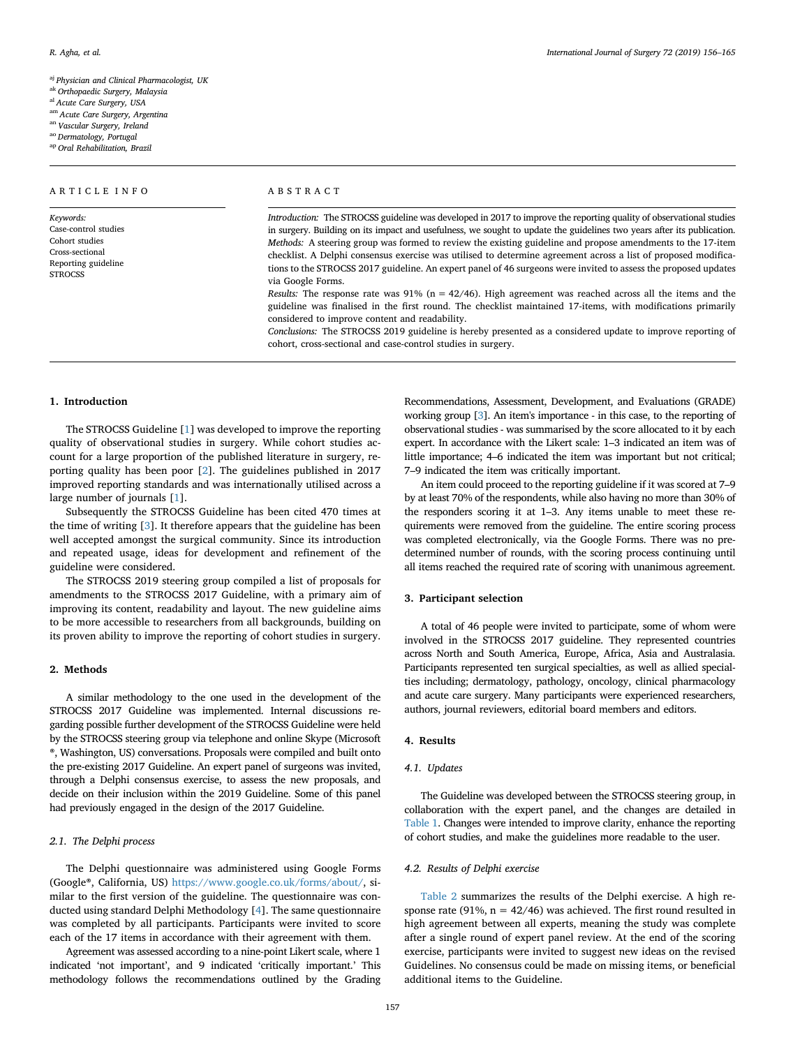<span id="page-1-0"></span>aj *Physician and Clinical Pharmacologist, UK*

<span id="page-1-1"></span>ak *Orthopaedic Surgery, Malaysia*

<span id="page-1-2"></span>al *Acute Care Surgery, USA*

<span id="page-1-3"></span>am *Acute Care Surgery, Argentina*

<span id="page-1-4"></span>an *Vascular Surgery, Ireland*

<span id="page-1-6"></span><span id="page-1-5"></span>ao *Dermatology, Portugal* ap *Oral Rehabilitation, Brazil*

ARTICLE INFO

*Keywords:* Case-control studies Cohort studies Cross-sectional Reporting guideline **STROCSS** 

| R. Agha, et al. | 156–165 International Journal of Surgery 72 (2019)<br>. |
|-----------------|---------------------------------------------------------|
|-----------------|---------------------------------------------------------|

ABSTRACT

*Introduction:* The STROCSS guideline was developed in 2017 to improve the reporting quality of observational studies in surgery. Building on its impact and usefulness, we sought to update the guidelines two years after its publication. *Methods:* A steering group was formed to review the existing guideline and propose amendments to the 17-item checklist. A Delphi consensus exercise was utilised to determine agreement across a list of proposed modifications to the STROCSS 2017 guideline. An expert panel of 46 surgeons were invited to assess the proposed updates via Google Forms.

*Results:* The response rate was  $91\%$  (n = 42/46). High agreement was reached across all the items and the guideline was finalised in the first round. The checklist maintained 17-items, with modifications primarily considered to improve content and readability.

*Conclusions:* The STROCSS 2019 guideline is hereby presented as a considered update to improve reporting of cohort, cross-sectional and case-control studies in surgery.

#### **1. Introduction**

The STROCSS Guideline [[1](#page-9-0)] was developed to improve the reporting quality of observational studies in surgery. While cohort studies account for a large proportion of the published literature in surgery, reporting quality has been poor [\[2\]](#page-9-1). The guidelines published in 2017 improved reporting standards and was internationally utilised across a large number of journals [[1](#page-9-0)].

Subsequently the STROCSS Guideline has been cited 470 times at the time of writing [\[3\]](#page-9-2). It therefore appears that the guideline has been well accepted amongst the surgical community. Since its introduction and repeated usage, ideas for development and refinement of the guideline were considered.

The STROCSS 2019 steering group compiled a list of proposals for amendments to the STROCSS 2017 Guideline, with a primary aim of improving its content, readability and layout. The new guideline aims to be more accessible to researchers from all backgrounds, building on its proven ability to improve the reporting of cohort studies in surgery.

#### **2. Methods**

A similar methodology to the one used in the development of the STROCSS 2017 Guideline was implemented. Internal discussions regarding possible further development of the STROCSS Guideline were held by the STROCSS steering group via telephone and online Skype (Microsoft ®, Washington, US) conversations. Proposals were compiled and built onto the pre-existing 2017 Guideline. An expert panel of surgeons was invited, through a Delphi consensus exercise, to assess the new proposals, and decide on their inclusion within the 2019 Guideline. Some of this panel had previously engaged in the design of the 2017 Guideline.

### *2.1. The Delphi process*

The Delphi questionnaire was administered using Google Forms (Google®, California, US) <https://www.google.co.uk/forms/about/>, similar to the first version of the guideline. The questionnaire was conducted using standard Delphi Methodology [[4](#page-9-3)]. The same questionnaire was completed by all participants. Participants were invited to score each of the 17 items in accordance with their agreement with them.

Agreement was assessed according to a nine-point Likert scale, where 1 indicated 'not important', and 9 indicated 'critically important.' This methodology follows the recommendations outlined by the Grading

Recommendations, Assessment, Development, and Evaluations (GRADE) working group [\[3\]](#page-9-2). An item's importance - in this case, to the reporting of observational studies - was summarised by the score allocated to it by each expert. In accordance with the Likert scale: 1–3 indicated an item was of little importance; 4–6 indicated the item was important but not critical; 7–9 indicated the item was critically important.

An item could proceed to the reporting guideline if it was scored at 7–9 by at least 70% of the respondents, while also having no more than 30% of the responders scoring it at 1–3. Any items unable to meet these requirements were removed from the guideline. The entire scoring process was completed electronically, via the Google Forms. There was no predetermined number of rounds, with the scoring process continuing until all items reached the required rate of scoring with unanimous agreement.

#### **3. Participant selection**

A total of 46 people were invited to participate, some of whom were involved in the STROCSS 2017 guideline. They represented countries across North and South America, Europe, Africa, Asia and Australasia. Participants represented ten surgical specialties, as well as allied specialties including; dermatology, pathology, oncology, clinical pharmacology and acute care surgery. Many participants were experienced researchers, authors, journal reviewers, editorial board members and editors.

### **4. Results**

#### *4.1. Updates*

The Guideline was developed between the STROCSS steering group, in collaboration with the expert panel, and the changes are detailed in [Table 1.](#page-2-0) Changes were intended to improve clarity, enhance the reporting of cohort studies, and make the guidelines more readable to the user.

#### *4.2. Results of Delphi exercise*

[Table 2](#page-7-0) summarizes the results of the Delphi exercise. A high response rate (91%,  $n = 42/46$ ) was achieved. The first round resulted in high agreement between all experts, meaning the study was complete after a single round of expert panel review. At the end of the scoring exercise, participants were invited to suggest new ideas on the revised Guidelines. No consensus could be made on missing items, or beneficial additional items to the Guideline.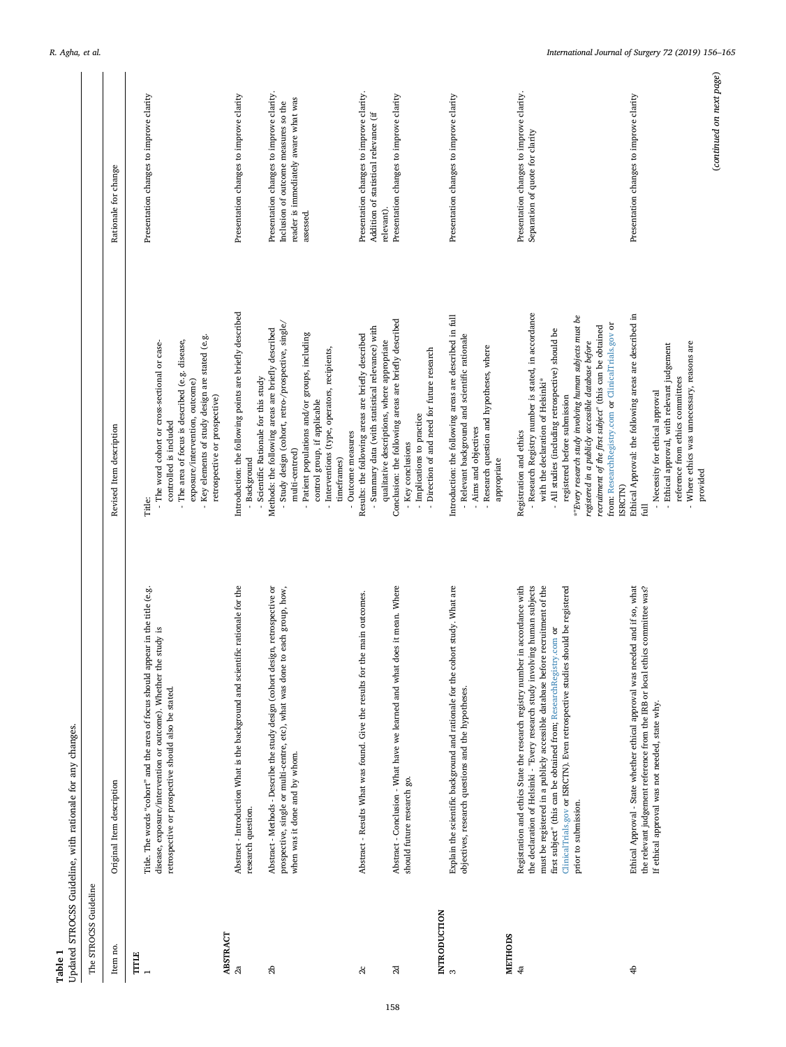<span id="page-2-0"></span>

| Table 1                  | Updated STROCSS Guideline, with rationale for any changes.                                                                                                                                                                                         |                                                                                                                                                                                                                                                                                                                                 |                                                                                                                                       |
|--------------------------|----------------------------------------------------------------------------------------------------------------------------------------------------------------------------------------------------------------------------------------------------|---------------------------------------------------------------------------------------------------------------------------------------------------------------------------------------------------------------------------------------------------------------------------------------------------------------------------------|---------------------------------------------------------------------------------------------------------------------------------------|
| The STROCSS Guideline    |                                                                                                                                                                                                                                                    |                                                                                                                                                                                                                                                                                                                                 |                                                                                                                                       |
| Item no.                 | Original Item description                                                                                                                                                                                                                          | Revised Item description                                                                                                                                                                                                                                                                                                        | Rationale for change                                                                                                                  |
| TITLE                    | Title. The words "cohort" and the area of focus should appear in the title (e.g.<br>study is<br>disease, exposure/intervention or outcome). Whether the<br>retrospective or prospective should also be stated.                                     | Key elements of study design are stated (e.g.<br>The area of focus is described (e.g. disease,<br>- The word cohort or cross-sectional or case-<br>exposure/intervention, outcome)<br>controlled is included<br>Title:                                                                                                          | Presentation changes to improve clarity                                                                                               |
| ABSTRACT<br>2a           | Abstract - Introduction What is the background and scientific rationale for the<br>research question.                                                                                                                                              | Introduction: the following points are briefly described<br>retrospective or prospective)<br>- Background                                                                                                                                                                                                                       | Presentation changes to improve clarity                                                                                               |
| 2b                       | Abstract - Methods - Describe the study design (cohort design, retrospective or<br>prospective, single or multi-centre, etc), what was done to each group, how,<br>when was it done and by whom.                                                   | - Study design (cohort, retro-/prospective, single/<br>Methods: the following areas are briefly described<br>Patient populations and/or groups, including<br>- Interventions (type, operators, recipients,<br>- Scientific Rationale for this study<br>control group, if applicable<br>multi-centred)<br>timeframes)            | Presentation changes to improve clarity.<br>reader is immediately aware what was<br>Inclusion of outcome measures so the<br>assessed. |
| $\alpha$                 | Abstract - Results What was found. Give the results for the main outcomes.                                                                                                                                                                         | - Summary data (with statistical relevance) with<br>Results: the following areas are briefly described<br>Outcome measures                                                                                                                                                                                                      | Presentation changes to improve clarity.<br>Addition of statistical relevance (if                                                     |
| $_{\rm 2d}$              | Abstract - Conclusion - What have we learned and what does it mean. Where<br>should future research go.                                                                                                                                            | Conclusion: the following areas are briefly described<br>qualitative descriptions, where appropriate<br>- Direction of and need for future research<br>- Implications to practice<br>- Key conclusions                                                                                                                          | Presentation changes to improve clarity<br>relevant).                                                                                 |
| INTRODUCTION<br>$\infty$ | Explain the scientific background and rationale for the cohort study. What are<br>objectives, research questions and the hypotheses.                                                                                                               | Introduction: the following areas are described in full<br>- Relevant background and scientific rationale<br>- Research question and hypotheses, where<br>- Aims and objectives                                                                                                                                                 | Presentation changes to improve clarity                                                                                               |
| <b>METHODS</b><br>4a     | in accordance with<br>the declaration of Helsinki - "Every research study involving human subjects<br>must be registered in a publicly accessible database before recruitment of the<br>Registration and ethics State the research registry number | - Research Registry number is stated, in accordance<br>with the declaration of Helsinki*<br>Registration and ethics<br>appropriate                                                                                                                                                                                              | Presentation changes to improve clarity.<br>Separation of quote for clarity                                                           |
|                          | ClinicalTrials.gov or ISRCTN). Even retrospective studies should be registered<br>first subject" (this can be obtained from; ResearchRegistry.com or<br>prior to submission.                                                                       | *"Every research study involving human subjects must be<br>from: ResearchRegistry.com or ClinicalTrials.gov or<br>recruitment of the first subject" (this can be obtained<br>- All studies (including retrospective) should be<br>registered in a publicly accessible database before<br>registered before submission<br>(SRCTN |                                                                                                                                       |
| 4                        | Ethical Approval - State whether ethical approval was needed and if so, what<br>the relevant judgement reference from the IRB or local ethics committee was?<br>If ethical approval was not needed, state why.                                     | Ethical Approval: the following areas are described in<br>- Where ethics was unnecessary, reasons are<br>- Ethical approval, with relevant judgement<br>reference from ethics committees<br>- Necessity for ethical approval<br>provided<br>E                                                                                   | Presentation changes to improve clarity                                                                                               |

158

(*continued on next page*)

 $\left( {continued\ on\ next\ page} \right)$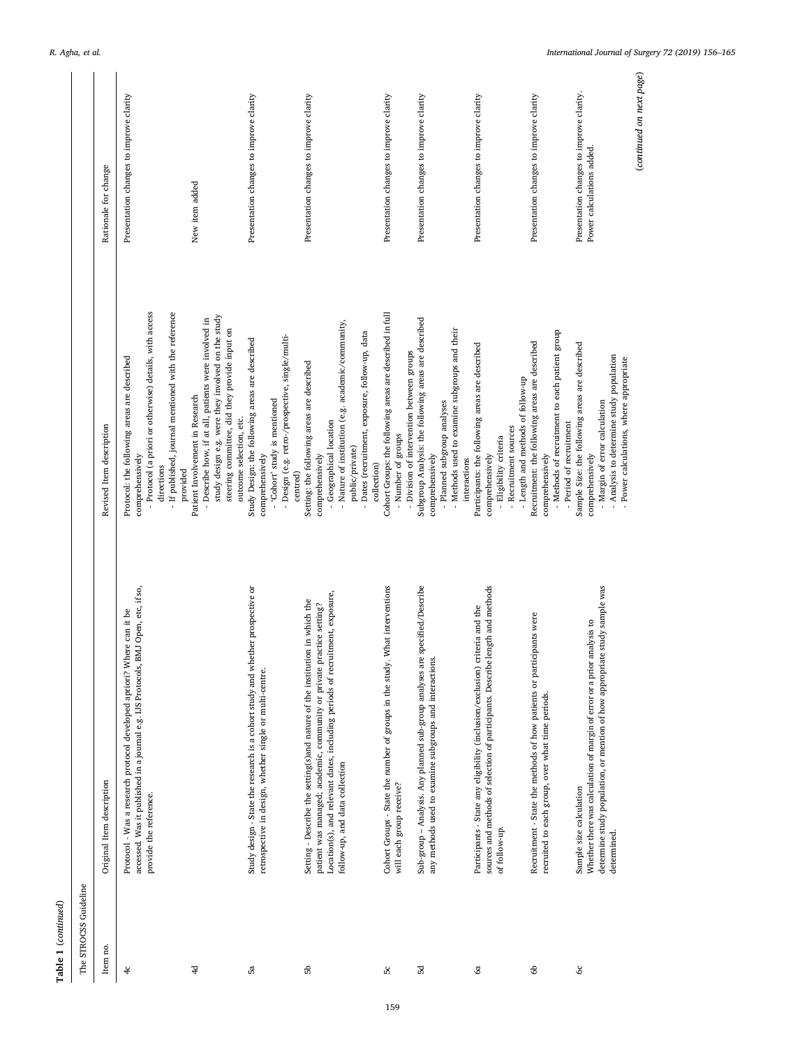| The STROCSS Guideline |                                                                                                                                                                                                                                                                        |                                                                                                                                                                                                                                    |                                                                       |
|-----------------------|------------------------------------------------------------------------------------------------------------------------------------------------------------------------------------------------------------------------------------------------------------------------|------------------------------------------------------------------------------------------------------------------------------------------------------------------------------------------------------------------------------------|-----------------------------------------------------------------------|
| Item no.              | Original Item description                                                                                                                                                                                                                                              | Revised Item description                                                                                                                                                                                                           | Rationale for change                                                  |
| $\ddot{\mathrm{r}}$   | accessed. Was it published in a journal e.g. IJS Protocols, BMJ Open, etc, if so,<br>Protocol - Was a research protocol developed apriori? Where can it be<br>provide the reference.                                                                                   | - Protocol (a priori or otherwise) details, with access<br>If published, journal mentioned with the reference<br>Protocol: the following areas are described<br>comprehensively<br>directions                                      | Presentation changes to improve clarity                               |
| $\overline{4}$        |                                                                                                                                                                                                                                                                        | study design e.g. were they involved on the study<br>- Describe how, if at all, patients were involved in<br>steering committee, did they provide input on<br>Patient Involvement in Research<br>provided                          | New item added                                                        |
| 5ã                    | Study design - State the research is a cohort study and whether prospective or<br>retrospective in design, whether single or multi-centre.                                                                                                                             | - Design (e.g. retro-/prospective, single/multi-<br>Study Design: the following areas are described<br>- 'Cohort' study is mentioned<br>outcome selection, etc.<br>comprehensively<br>centred)                                     | Presentation changes to improve clarity                               |
| 56                    | Location(s), and relevant dates, including periods of recruitment, exposure,<br>Setting - Describe the setting(s)and nature of the institution in which the<br>patient was managed; academic, community or private practice setting?<br>follow-up, and data collection | - Nature of institution (e.g. academic/community,<br>- Dates (recruitment, exposure, follow-up, data<br>Setting: the following areas are described<br>- Geographical location<br>public/private)<br>comprehensively<br>collection) | Presentation changes to improve clarity                               |
| 50                    | What interventions<br>Cohort Groups - State the number of groups in the study.<br>will each group receive?                                                                                                                                                             | Cohort Groups: the following areas are described in full<br>- Division of intervention between groups<br>- Number of groups                                                                                                        | Presentation changes to improve clarity                               |
| 35                    | specified/Describe<br>Sub-group - Analysis. Any planned sub-group analyses are<br>any methods used to examine subgroups and interactions                                                                                                                               | Subgroup Analysis: the following areas are described<br>- Methods used to examine subgroups and their<br>- Planned subgroup analyses<br>comprehensively<br>interactions                                                            | Presentation changes to improve clarity                               |
| <b>යි</b>             | length and methods<br>Participants - State any eligibility (inclusion/exclusion) criteria and the<br>sources and methods of selection of participants. Describe<br>of follow-up.                                                                                       | Participants: the following areas are described<br>- Length and methods of follow-up<br>- Recruitment sources<br>- Eligibility criteria<br>comprehensively                                                                         | Presentation changes to improve clarity                               |
| 6                     | Recruitment - State the methods of how patients or participants were<br>recruited to each group, over what time periods.                                                                                                                                               | - Methods of recruitment to each patient group<br>Recruitment: the following areas are described<br>- Period of recruitment<br>comprehensively                                                                                     | Presentation changes to improve clarity                               |
| <u>ა</u>              | determine study population, or mention of how appropriate study sample was<br>Whether there was calculation of margin of error or a prior analysis to<br>Sample size calculation<br>determined.                                                                        | Sample Size: the following areas are described<br>- Analysis to determine study population<br>- Power calculations, where appropriate<br>- Margin of error calculation<br>comprehensively                                          | Presentation changes to improve clarity.<br>Power calculations added. |
|                       |                                                                                                                                                                                                                                                                        |                                                                                                                                                                                                                                    | (continued on next page)                                              |

**Table 1** (*continued*)

 ${\bf Table ~1}~ (continued)$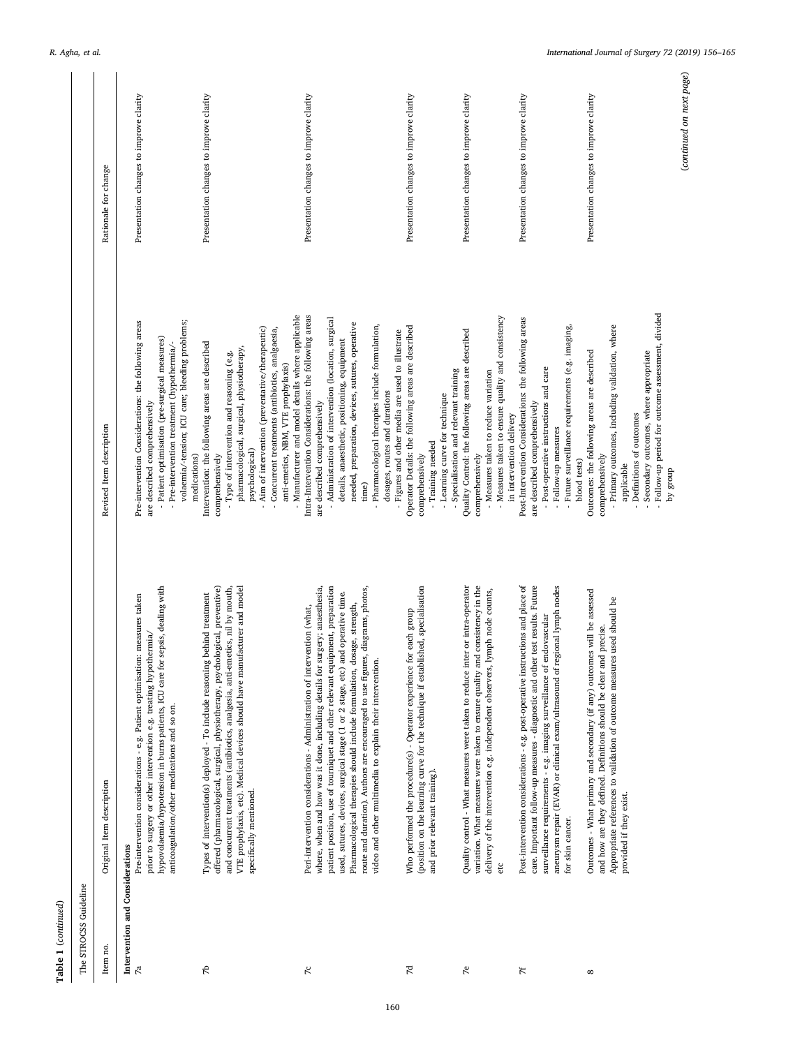| Table 1 (continued)                               |                                                                                                                                                                                                                                                                                                                                                                                                                                                                                                                                                         |                                                                                                                                                                                                                                                                                                                                                                                                       |                                         |
|---------------------------------------------------|---------------------------------------------------------------------------------------------------------------------------------------------------------------------------------------------------------------------------------------------------------------------------------------------------------------------------------------------------------------------------------------------------------------------------------------------------------------------------------------------------------------------------------------------------------|-------------------------------------------------------------------------------------------------------------------------------------------------------------------------------------------------------------------------------------------------------------------------------------------------------------------------------------------------------------------------------------------------------|-----------------------------------------|
| The STROCSS Guideline                             |                                                                                                                                                                                                                                                                                                                                                                                                                                                                                                                                                         |                                                                                                                                                                                                                                                                                                                                                                                                       |                                         |
| Item no.                                          | Original Item description                                                                                                                                                                                                                                                                                                                                                                                                                                                                                                                               | Revised Item description                                                                                                                                                                                                                                                                                                                                                                              | Rationale for change                    |
| Intervention and Considerations<br>$\mathbb{Z}^d$ | hypovolaemia/hypotension in burns patients, ICU care for sepsis, dealing with<br>Pre-intervention considerations - e.g. Patient optimisation: measures taken<br>prior to surgery or other intervention e.g. treating hypothermia/<br>anticoagulation/other medications and so on.                                                                                                                                                                                                                                                                       | volaemia/-tension; ICU care; bleeding problems;<br>Pre-intervention Considerations: the following areas<br>- Patient optimisation (pre-surgical measures)<br>- Pre-intervention treatment (hypothermia/<br>are described comprehensively<br>medications)                                                                                                                                              | Presentation changes to improve clarity |
| 47                                                | offered (pharmacological, surgical, physiotherapy, psychological, preventive)<br>VTE prophylaxis, etc). Medical devices should have manufacturer and model<br>and concurrent treatments (antibiotics, analgesia, anti-emetics, nil by mouth,<br>Types of intervention(s) deployed - To include reasoning behind treatment<br>specifically mentioned.                                                                                                                                                                                                    | - Manufacturer and model details where applicable<br>Aim of intervention (preventative/therapeutic)<br>- Concurrent treatments (antibiotics, analgaesia,<br>Intervention: the following areas are described<br>pharmacological, surgical, physiotherapy,<br>- Type of intervention and reasoning (e.g.<br>anti-emetics, NBM, VTE prophylaxis)<br>psychological)<br>comprehensively                    | Presentation changes to improve clarity |
| $\tilde{\kappa}$                                  | where, when and how was it done, including details for surgery; anaesthesia,<br>patient position, use of tourniquet and other relevant equipment, preparation<br>route and duration). Authors are encouraged to use figures, diagrams, photos,<br>used, sutures, devices, surgical stage (1 or 2 stage, etc) and operative time.<br>dosage, strength,<br>Peri-intervention considerations - Administration of intervention (what,<br>video and other multimedia to explain their intervention.<br>Pharmacological therapies should include formulation, | Intra-Intervention Considerations: the following areas<br>- Administration of intervention (location, surgical<br>needed, preparation, devices, sutures, operative<br>- Pharmacological therapies include formulation,<br>- Figures and other media are used to illustrate<br>details, anaesthetic, positioning, equipment<br>dosages, routes and durations<br>are described comprehensively<br>time) | Presentation changes to improve clarity |
| 74                                                | (position on the learning curve for the technique if established, specialisation<br>Who performed the procedure(s) - Operator experience for each group<br>and prior relevant training).                                                                                                                                                                                                                                                                                                                                                                | Operator Details: the following areas are described<br>- Specialisation and relevant training<br>- Learning curve for technique<br>- Training needed<br>comprehensively                                                                                                                                                                                                                               | Presentation changes to improve clarity |
| 7e                                                | variation. What measures were taken to ensure quality and consistency in the<br>Quality control - What measures were taken to reduce inter or intra-operator<br>lymph node counts,<br>delivery of the intervention e.g. independent observers,<br>etc                                                                                                                                                                                                                                                                                                   | - Measures taken to ensure quality and consistency<br>Quality Control: the following areas are described<br>- Measures taken to reduce variation<br>in intervention delivery<br>comprehensively                                                                                                                                                                                                       | Presentation changes to improve clarity |
| 7f                                                | Post-intervention considerations - e.g. post-operative instructions and place of<br>care. Important follow-up measures - diagnostic and other test results. Future<br>regional lymph nodes<br>endovascular<br>surveillance requirements - e.g. imaging surveillance of<br>aneurysm repair (EVAR) or clinical exam/ultrasound of<br>for skin cancer.                                                                                                                                                                                                     | Post-Intervention Considerations: the following areas<br>- Future surveillance requirements (e.g. imaging,<br>- Post-operative instructions and care<br>are described comprehensively<br>- Follow-up measures<br>blood tests)                                                                                                                                                                         | Presentation changes to improve clarity |
| ${}^{\circ}$                                      | Outcomes - What primary and secondary (if any) outcomes will be assessed<br>es used should be<br>and how are they defined. Definitions should be clear and precise.<br>Appropriate references to validation of outcome measur<br>provided if they exist.                                                                                                                                                                                                                                                                                                | - Follow-up period for outcome assessment, divided<br>- Primary outcomes, including validation, where<br>Outcomes: the following areas are described<br>- Secondary outcomes, where appropriate<br>- Definitions of outcomes<br>comprehensively<br>applicable<br>dnorß Kq                                                                                                                             | Presentation changes to improve clarity |

(*continued on next page*)

(continued on next page)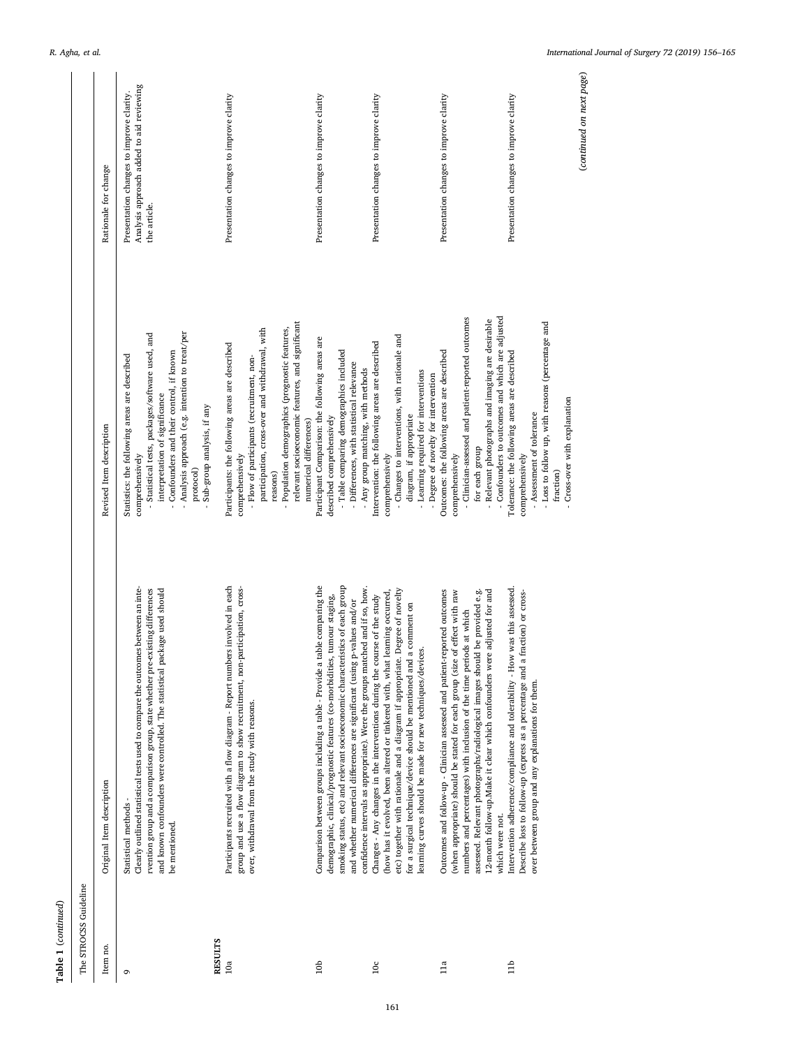| Table 1 (continued)   |                                                                                                                                                                                                                                                                                                                                                                                                            |                                                                                                                                                                                                                                                                                               |                                                                                                      |
|-----------------------|------------------------------------------------------------------------------------------------------------------------------------------------------------------------------------------------------------------------------------------------------------------------------------------------------------------------------------------------------------------------------------------------------------|-----------------------------------------------------------------------------------------------------------------------------------------------------------------------------------------------------------------------------------------------------------------------------------------------|------------------------------------------------------------------------------------------------------|
| The STROCSS Guideline |                                                                                                                                                                                                                                                                                                                                                                                                            |                                                                                                                                                                                                                                                                                               |                                                                                                      |
| Item no.              | Original Item description                                                                                                                                                                                                                                                                                                                                                                                  | Revised Item description                                                                                                                                                                                                                                                                      | Rationale for change                                                                                 |
| G                     | Clearly outlined statistical tests used to compare the outcomes between an inte-<br>rvention group and a comparison group, state whether pre-existing differences<br>and known confounders were controlled. The statistical package used should<br>Statistical methods -<br>be mentioned.                                                                                                                  | Analysis approach (e.g. intention to treat/per<br>- Statistical tests, packages/software used, and<br>Confounders and their control, if known<br>Statistics: the following areas are described<br>interpretation of significance<br>Sub-group analysis, if any<br>comprehensively<br>protocol | Analysis approach added to aid reviewing<br>Presentation changes to improve clarity.<br>the article. |
| <b>RESULTS</b><br>10a | Participants recruited with a flow diagram - Report numbers involved in each<br>group and use a flow diagram to show recruitment, non-participation, cross-<br>over, withdrawal from the study with reasons.                                                                                                                                                                                               | participation, cross-over and withdrawal, with<br>Participants: the following areas are described<br>- Flow of participants (recruitment, non-<br>comprehensively                                                                                                                             | Presentation changes to improve clarity                                                              |
|                       |                                                                                                                                                                                                                                                                                                                                                                                                            | relevant socioeconomic features, and significant<br>Population demographics (prognostic features,<br>numerical differences)<br>reasons)                                                                                                                                                       |                                                                                                      |
| 10 <sub>b</sub>       | Comparison between groups including a table - Provide a table comparing the<br>smoking status, etc) and relevant socioeconomic characteristics of each group<br>confidence intervals as appropriate). Were the groups matched and if so, how.<br>demographic, clinical/prognostic features (co-morbidities, tumour staging,<br>p-values and/or<br>and whether numerical differences are significant (using | Participant Comparison: the following areas are<br>- Table comparing demographics included<br>- Differences, with statistical relevance<br>- Any group matching, with methods<br>described comprehensively                                                                                    | Presentation changes to improve clarity                                                              |
| $10\mathrm{c}$        | etc) together with rationale and a diagram if appropriate. Degree of novelty<br>(how has it evolved, been altered or tinkered with, what learning occurred,<br>Changes - Any changes in the interventions during the course of the study<br>a comment on<br>learning curves should be made for new techniques/devices.<br>for a surgical technique/device should be mentioned and                          | - Changes to interventions, with rationale and<br>Intervention: the following areas are described<br>- Learning required for interventions<br>diagram, if appropriate<br>comprehensively                                                                                                      | Presentation changes to improve clarity                                                              |
| 11a                   | Outcomes and follow-up - Clinician assessed and patient-reported outcomes<br>(when appropriate) should be stated for each group (size of effect with raw<br>12-month follow-up.Make it clear which confounders were adjusted for and<br>assessed. Relevant photographs/radiological images should be provided e.g.<br>numbers and percentages) with inclusion of the time periods at which                 | - Clinician-assessed and patient-reported outcomes<br>- Relevant photographs and imaging are desirable<br>Outcomes: the following areas are described<br>- Degree of novelty for intervention<br>for each group<br>comprehensively                                                            | Presentation changes to improve clarity                                                              |
| 11 <sub>b</sub>       | Intervention adherence/compliance and tolerability - How was this assessed.<br>fraction) or cross-<br>Describe loss to follow-up (express as a percentage and a<br>over between group and any explanations for them.<br>which were not.                                                                                                                                                                    | - Confounders to outcomes and which are adjusted<br>- Loss to follow up, with reasons (percentage and<br>Tolerance: the following areas are described<br>- Cross-over with explanation<br>- Assessment of tolerance<br>comprehensively<br>fraction)                                           | Presentation changes to improve clarity                                                              |
|                       |                                                                                                                                                                                                                                                                                                                                                                                                            |                                                                                                                                                                                                                                                                                               | (continued on next page)                                                                             |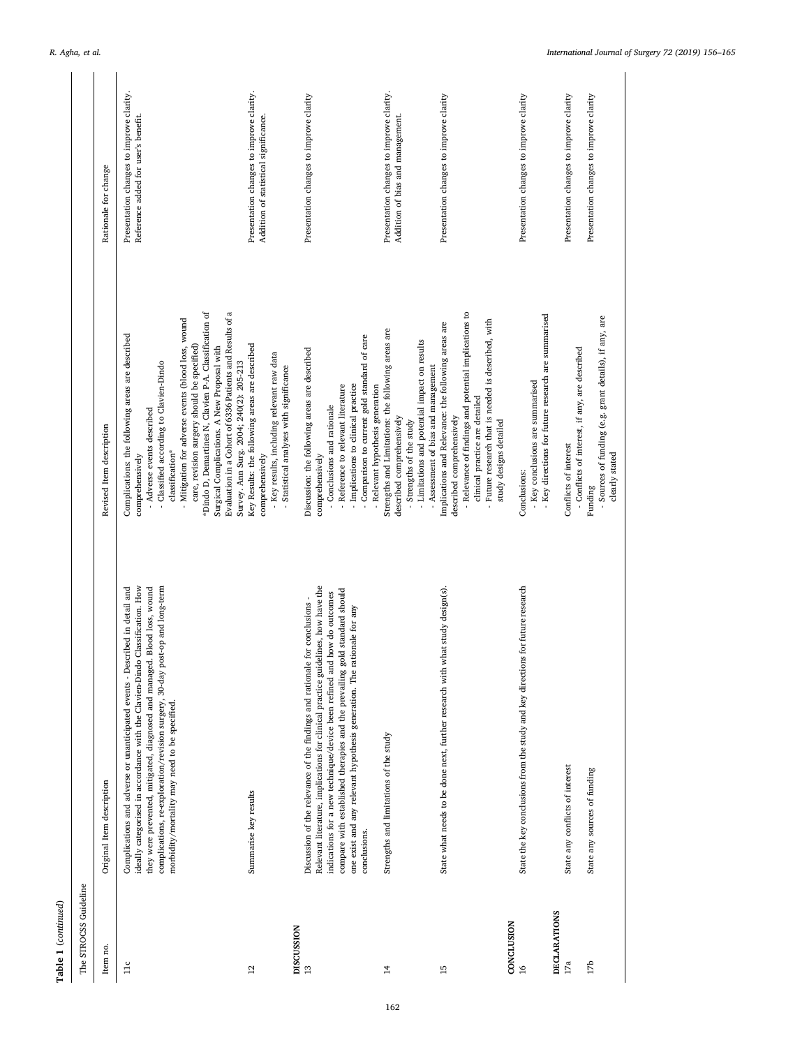| The STROCSS Guideline                |                                                                                                                                                                                                                                                                                                                                                                                                                     |                                                                                                                                                                                                                                                                                                                                                                                                                                                                                     |                                                                                    |
|--------------------------------------|---------------------------------------------------------------------------------------------------------------------------------------------------------------------------------------------------------------------------------------------------------------------------------------------------------------------------------------------------------------------------------------------------------------------|-------------------------------------------------------------------------------------------------------------------------------------------------------------------------------------------------------------------------------------------------------------------------------------------------------------------------------------------------------------------------------------------------------------------------------------------------------------------------------------|------------------------------------------------------------------------------------|
| Item no.                             | Original Item description                                                                                                                                                                                                                                                                                                                                                                                           | Revised Item description                                                                                                                                                                                                                                                                                                                                                                                                                                                            | Rationale for change                                                               |
| 11c                                  | ideally categorised in accordance with the Clavien-Dindo Classification. How<br>Blood loss, wound<br>Complications and adverse or unanticipated events - Described in detail and<br>complications, re-exploration/revision surgery, 30-day post-op and long-term<br>they were prevented, mitigated, diagnosed and managed.<br>morbidity/mortality may need to be specified.                                         | Evaluation in a Cohort of 6336 Patients and Results of a<br>*Dindo D, Demartines N, Clavien P-A. Classification of<br>- Mitigation for adverse events (blood loss, wound<br>Complications: the following areas are described<br>care, revision surgery should be specified<br>Surgical Complications. A New Proposal with<br>Survey. Ann Surg. 2004; 240(2): 205-213<br>- Classified according to Clavien-Dindo<br>- Adverse events described<br>classification*<br>comprehensively | Presentation changes to improve clarity.<br>Reference added for user's benefit.    |
| DISCUSSION<br>12                     | Summarise key results                                                                                                                                                                                                                                                                                                                                                                                               | Key Results: the following areas are described<br>- Key results, including relevant raw data<br>Statistical analyses with significance<br>comprehensively                                                                                                                                                                                                                                                                                                                           | Presentation changes to improve clarity.<br>Addition of statistical significance.  |
| $13$                                 | Relevant literature, implications for clinical practice guidelines, how have the<br>compare with established therapies and the prevailing gold standard should<br>indications for a new technique/device been refined and how do outcomes<br>Discussion of the relevance of the findings and rationale for conclusions -<br>one exist and any relevant hypothesis generation. The rationale for any<br>conclusions. | - Comparison to current gold standard of care<br>Discussion: the following areas are described<br>- Implications to clinical practice<br>- Reference to relevant literature<br>- Relevant hypothesis generation<br>- Conclusions and rationale<br>comprehensively                                                                                                                                                                                                                   | Presentation changes to improve clarity                                            |
| $\overline{14}$                      | Strengths and limitations of the study                                                                                                                                                                                                                                                                                                                                                                              | Strengths and Limitations: the following areas are<br>- Limitations and potential impact on results<br>- Assessment of bias and management<br>described comprehensively<br>- Strengths of the study                                                                                                                                                                                                                                                                                 | Presentation changes to improve clarity.<br>Addition of bias and management.       |
| CONCLUSION<br>15                     | State what needs to be done next, further research with what study design(s).                                                                                                                                                                                                                                                                                                                                       | - Relevance of findings and potential implications to<br>Future research that is needed is described, with<br>Implications and Relevance: the following areas are<br>clinical practice are detailed<br>described comprehensively<br>study designs detailed                                                                                                                                                                                                                          | Presentation changes to improve clarity                                            |
| <b>DECLARATIONS</b><br>$\frac{8}{1}$ | State the key conclusions from the study and key directions for future research                                                                                                                                                                                                                                                                                                                                     | - Key directions for future research are summarised<br>- Key conclusions are summarised<br>Conclusions:                                                                                                                                                                                                                                                                                                                                                                             | Presentation changes to improve clarity                                            |
| 17 <sub>b</sub><br>$17a$             | State any conflicts of interest<br>State any sources of funding                                                                                                                                                                                                                                                                                                                                                     | - Sources of funding (e.g. grant details), if any, are<br>- Conflicts of interest, if any, are described<br>Conflicts of interest<br>clearly stated<br>Funding                                                                                                                                                                                                                                                                                                                      | Presentation changes to improve clarity<br>Presentation changes to improve clarity |

**Table 1** (*continued*)

 ${\bf Table ~1}~ (continued)$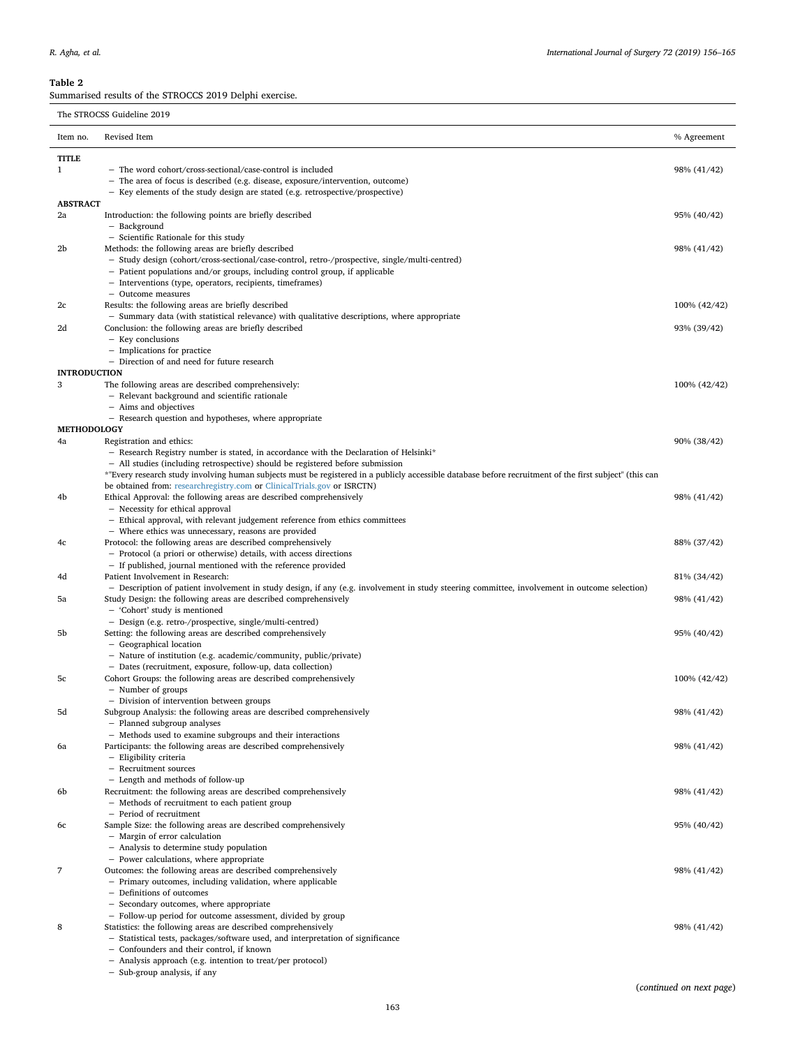## <span id="page-7-0"></span>**Table 2**

Summarised results of the STROCCS 2019 Delphi exercise.

The STROCSS Guideline 2019

| Item no.            | Revised Item                                                                                                                                            | % Agreement  |
|---------------------|---------------------------------------------------------------------------------------------------------------------------------------------------------|--------------|
| TITLE               |                                                                                                                                                         |              |
| $\mathbf{1}$        | - The word cohort/cross-sectional/case-control is included                                                                                              | 98% (41/42)  |
|                     | - The area of focus is described (e.g. disease, exposure/intervention, outcome)                                                                         |              |
| <b>ABSTRACT</b>     | - Key elements of the study design are stated (e.g. retrospective/prospective)                                                                          |              |
| 2a                  | Introduction: the following points are briefly described                                                                                                | 95% (40/42)  |
|                     | - Background                                                                                                                                            |              |
|                     | - Scientific Rationale for this study                                                                                                                   |              |
| 2b                  | Methods: the following areas are briefly described                                                                                                      | 98% (41/42)  |
|                     | - Study design (cohort/cross-sectional/case-control, retro-/prospective, single/multi-centred)                                                          |              |
|                     | - Patient populations and/or groups, including control group, if applicable                                                                             |              |
|                     | - Interventions (type, operators, recipients, timeframes)                                                                                               |              |
| 2c                  | - Outcome measures<br>Results: the following areas are briefly described                                                                                | 100% (42/42) |
|                     | - Summary data (with statistical relevance) with qualitative descriptions, where appropriate                                                            |              |
| 2d                  | Conclusion: the following areas are briefly described                                                                                                   | 93% (39/42)  |
|                     | - Key conclusions                                                                                                                                       |              |
|                     | - Implications for practice                                                                                                                             |              |
|                     | - Direction of and need for future research                                                                                                             |              |
| <b>INTRODUCTION</b> |                                                                                                                                                         |              |
| 3                   | The following areas are described comprehensively:                                                                                                      | 100% (42/42) |
|                     | - Relevant background and scientific rationale                                                                                                          |              |
|                     | - Aims and objectives<br>- Research question and hypotheses, where appropriate                                                                          |              |
| <b>METHODOLOGY</b>  |                                                                                                                                                         |              |
| 4a                  | Registration and ethics:                                                                                                                                | 90% (38/42)  |
|                     | - Research Registry number is stated, in accordance with the Declaration of Helsinki*                                                                   |              |
|                     | - All studies (including retrospective) should be registered before submission                                                                          |              |
|                     | *"Every research study involving human subjects must be registered in a publicly accessible database before recruitment of the first subject" (this can |              |
|                     | be obtained from: researchregistry.com or ClinicalTrials.gov or ISRCTN)                                                                                 |              |
| 4b                  | Ethical Approval: the following areas are described comprehensively                                                                                     | 98% (41/42)  |
|                     | - Necessity for ethical approval                                                                                                                        |              |
|                     | - Ethical approval, with relevant judgement reference from ethics committees<br>- Where ethics was unnecessary, reasons are provided                    |              |
| 4c                  | Protocol: the following areas are described comprehensively                                                                                             | 88% (37/42)  |
|                     | - Protocol (a priori or otherwise) details, with access directions                                                                                      |              |
|                     | - If published, journal mentioned with the reference provided                                                                                           |              |
| 4d                  | Patient Involvement in Research:                                                                                                                        | 81% (34/42)  |
|                     | - Description of patient involvement in study design, if any (e.g. involvement in study steering committee, involvement in outcome selection)           |              |
| 5a                  | Study Design: the following areas are described comprehensively                                                                                         | 98% (41/42)  |
|                     | - 'Cohort' study is mentioned                                                                                                                           |              |
| 5b                  | - Design (e.g. retro-/prospective, single/multi-centred)                                                                                                |              |
|                     | Setting: the following areas are described comprehensively<br>- Geographical location                                                                   | 95% (40/42)  |
|                     | - Nature of institution (e.g. academic/community, public/private)                                                                                       |              |
|                     | - Dates (recruitment, exposure, follow-up, data collection)                                                                                             |              |
| 5c                  | Cohort Groups: the following areas are described comprehensively                                                                                        | 100% (42/42) |
|                     | - Number of groups                                                                                                                                      |              |
|                     | - Division of intervention between groups                                                                                                               |              |
| 5d                  | Subgroup Analysis: the following areas are described comprehensively                                                                                    | 98% (41/42)  |
|                     | - Planned subgroup analyses                                                                                                                             |              |
| 6a                  | - Methods used to examine subgroups and their interactions<br>Participants: the following areas are described comprehensively                           |              |
|                     | - Eligibility criteria                                                                                                                                  | 98% (41/42)  |
|                     | - Recruitment sources                                                                                                                                   |              |
|                     | - Length and methods of follow-up                                                                                                                       |              |
| 6b                  | Recruitment: the following areas are described comprehensively                                                                                          | 98% (41/42)  |
|                     | - Methods of recruitment to each patient group                                                                                                          |              |
|                     | - Period of recruitment                                                                                                                                 |              |
| 6с                  | Sample Size: the following areas are described comprehensively                                                                                          | 95% (40/42)  |
|                     | - Margin of error calculation                                                                                                                           |              |
|                     | - Analysis to determine study population                                                                                                                |              |
| 7                   | - Power calculations, where appropriate<br>Outcomes: the following areas are described comprehensively                                                  | 98% (41/42)  |
|                     | - Primary outcomes, including validation, where applicable                                                                                              |              |
|                     | - Definitions of outcomes                                                                                                                               |              |
|                     | - Secondary outcomes, where appropriate                                                                                                                 |              |
|                     | - Follow-up period for outcome assessment, divided by group                                                                                             |              |
| 8                   | Statistics: the following areas are described comprehensively                                                                                           | 98% (41/42)  |
|                     | - Statistical tests, packages/software used, and interpretation of significance                                                                         |              |
|                     | - Confounders and their control, if known                                                                                                               |              |
|                     | - Analysis approach (e.g. intention to treat/per protocol)                                                                                              |              |

− Sub-group analysis, if any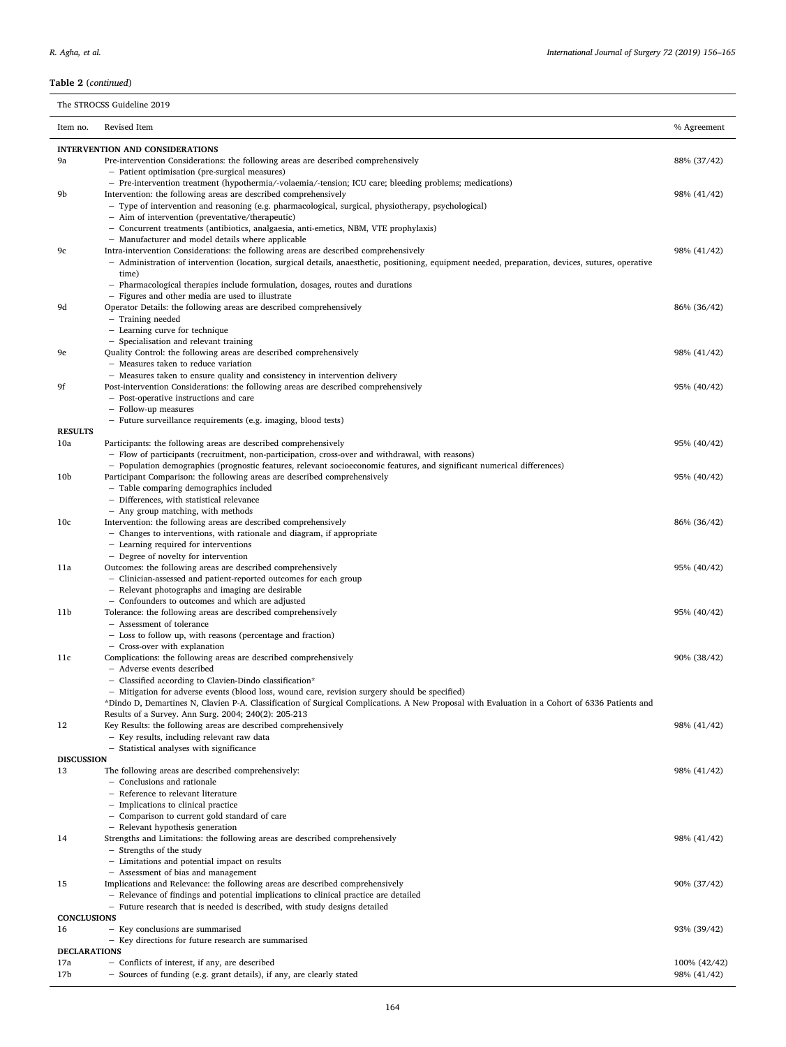## The STROCSS Guideline 2019

| Item no.              | Revised Item                                                                                                                                                          | % Agreement  |
|-----------------------|-----------------------------------------------------------------------------------------------------------------------------------------------------------------------|--------------|
|                       | <b>INTERVENTION AND CONSIDERATIONS</b>                                                                                                                                |              |
| 9a                    | Pre-intervention Considerations: the following areas are described comprehensively                                                                                    | 88% (37/42)  |
|                       | - Patient optimisation (pre-surgical measures)<br>- Pre-intervention treatment (hypothermia/-volaemia/-tension; ICU care; bleeding problems; medications)             |              |
| 9b                    | Intervention: the following areas are described comprehensively                                                                                                       | 98% (41/42)  |
|                       | - Type of intervention and reasoning (e.g. pharmacological, surgical, physiotherapy, psychological)                                                                   |              |
|                       | - Aim of intervention (preventative/therapeutic)<br>- Concurrent treatments (antibiotics, analgaesia, anti-emetics, NBM, VTE prophylaxis)                             |              |
|                       | - Manufacturer and model details where applicable                                                                                                                     |              |
| 9с                    | Intra-intervention Considerations: the following areas are described comprehensively                                                                                  | 98% (41/42)  |
|                       | - Administration of intervention (location, surgical details, anaesthetic, positioning, equipment needed, preparation, devices, sutures, operative<br>time)           |              |
|                       | - Pharmacological therapies include formulation, dosages, routes and durations                                                                                        |              |
|                       | - Figures and other media are used to illustrate                                                                                                                      |              |
| 9d                    | Operator Details: the following areas are described comprehensively                                                                                                   | 86% (36/42)  |
|                       | - Training needed<br>- Learning curve for technique                                                                                                                   |              |
|                       | - Specialisation and relevant training                                                                                                                                |              |
| 9e                    | Quality Control: the following areas are described comprehensively                                                                                                    | 98% (41/42)  |
|                       | - Measures taken to reduce variation                                                                                                                                  |              |
| 9f                    | - Measures taken to ensure quality and consistency in intervention delivery<br>Post-intervention Considerations: the following areas are described comprehensively    | 95% (40/42)  |
|                       | - Post-operative instructions and care                                                                                                                                |              |
|                       | - Follow-up measures                                                                                                                                                  |              |
|                       | - Future surveillance requirements (e.g. imaging, blood tests)                                                                                                        |              |
| <b>RESULTS</b><br>10a | Participants: the following areas are described comprehensively                                                                                                       | 95% (40/42)  |
|                       | - Flow of participants (recruitment, non-participation, cross-over and withdrawal, with reasons)                                                                      |              |
|                       | - Population demographics (prognostic features, relevant socioeconomic features, and significant numerical differences)                                               |              |
| 10 <sub>b</sub>       | Participant Comparison: the following areas are described comprehensively                                                                                             | 95% (40/42)  |
|                       | - Table comparing demographics included<br>- Differences, with statistical relevance                                                                                  |              |
|                       | - Any group matching, with methods                                                                                                                                    |              |
| 10 <sub>c</sub>       | Intervention: the following areas are described comprehensively                                                                                                       | 86% (36/42)  |
|                       | - Changes to interventions, with rationale and diagram, if appropriate                                                                                                |              |
|                       | - Learning required for interventions<br>- Degree of novelty for intervention                                                                                         |              |
| 11a                   | Outcomes: the following areas are described comprehensively                                                                                                           | 95% (40/42)  |
|                       | - Clinician-assessed and patient-reported outcomes for each group                                                                                                     |              |
|                       | - Relevant photographs and imaging are desirable                                                                                                                      |              |
| 11b                   | - Confounders to outcomes and which are adjusted<br>Tolerance: the following areas are described comprehensively                                                      | 95% (40/42)  |
|                       | - Assessment of tolerance                                                                                                                                             |              |
|                       | - Loss to follow up, with reasons (percentage and fraction)                                                                                                           |              |
|                       | - Cross-over with explanation                                                                                                                                         |              |
| 11c                   | Complications: the following areas are described comprehensively<br>- Adverse events described                                                                        | 90% (38/42)  |
|                       | - Classified according to Clavien-Dindo classification*                                                                                                               |              |
|                       | - Mitigation for adverse events (blood loss, wound care, revision surgery should be specified)                                                                        |              |
|                       | 'Dindo D, Demartines N, Clavien P-A. Classification of Surgical Complications. A New Proposal with Evaluation in a Cohort of 6336 Patients and                        |              |
| 12                    | Results of a Survey. Ann Surg. 2004; 240(2): 205-213<br>Key Results: the following areas are described comprehensively                                                | 98% (41/42)  |
|                       | - Key results, including relevant raw data                                                                                                                            |              |
|                       | - Statistical analyses with significance                                                                                                                              |              |
| <b>DISCUSSION</b>     |                                                                                                                                                                       | 98% (41/42)  |
| 13                    | The following areas are described comprehensively:<br>- Conclusions and rationale                                                                                     |              |
|                       | - Reference to relevant literature                                                                                                                                    |              |
|                       | - Implications to clinical practice                                                                                                                                   |              |
|                       | - Comparison to current gold standard of care                                                                                                                         |              |
| 14                    | - Relevant hypothesis generation<br>Strengths and Limitations: the following areas are described comprehensively                                                      | 98% (41/42)  |
|                       | - Strengths of the study                                                                                                                                              |              |
|                       | - Limitations and potential impact on results                                                                                                                         |              |
|                       | - Assessment of bias and management                                                                                                                                   |              |
| 15                    | Implications and Relevance: the following areas are described comprehensively<br>- Relevance of findings and potential implications to clinical practice are detailed | 90% (37/42)  |
|                       | - Future research that is needed is described, with study designs detailed                                                                                            |              |
| <b>CONCLUSIONS</b>    |                                                                                                                                                                       |              |
| 16                    | - Key conclusions are summarised                                                                                                                                      | 93% (39/42)  |
| <b>DECLARATIONS</b>   | - Key directions for future research are summarised                                                                                                                   |              |
| 17a                   | - Conflicts of interest, if any, are described                                                                                                                        | 100% (42/42) |
| 17b                   | - Sources of funding (e.g. grant details), if any, are clearly stated                                                                                                 | 98% (41/42)  |